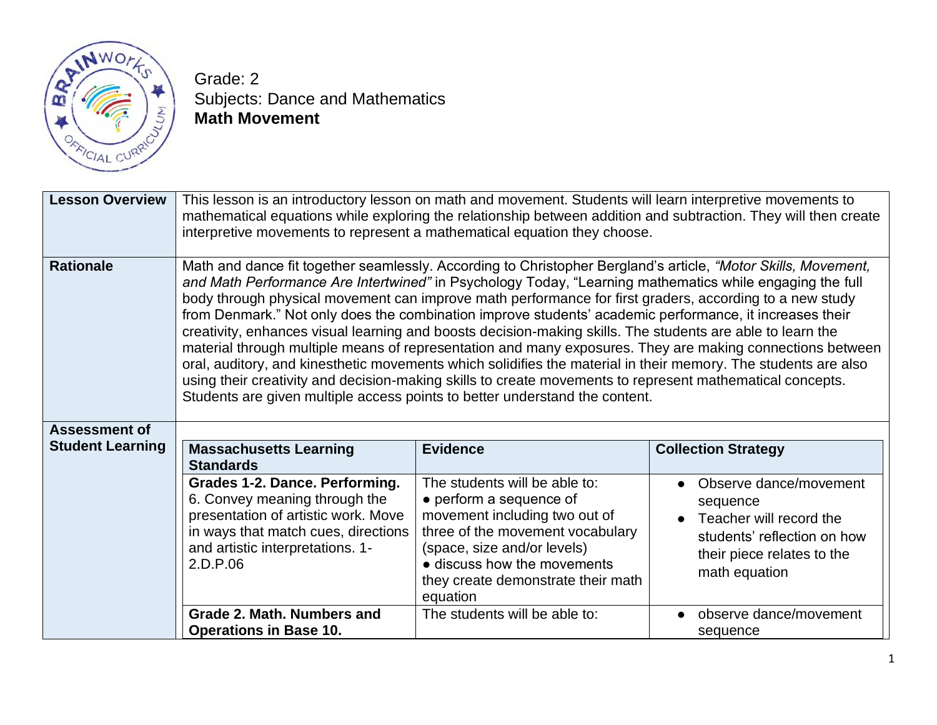

Grade: 2 Subjects: Dance and Mathematics **Math Movement**

| <b>Lesson Overview</b>  | This lesson is an introductory lesson on math and movement. Students will learn interpretive movements to<br>mathematical equations while exploring the relationship between addition and subtraction. They will then create<br>interpretive movements to represent a mathematical equation they choose.                                                                                                                                                                                                                                                                                                                                                                                                                                                                                                                                                                                                                                                                                 |                                                                                                                                                                                                                                               |                                                                                                                                             |
|-------------------------|------------------------------------------------------------------------------------------------------------------------------------------------------------------------------------------------------------------------------------------------------------------------------------------------------------------------------------------------------------------------------------------------------------------------------------------------------------------------------------------------------------------------------------------------------------------------------------------------------------------------------------------------------------------------------------------------------------------------------------------------------------------------------------------------------------------------------------------------------------------------------------------------------------------------------------------------------------------------------------------|-----------------------------------------------------------------------------------------------------------------------------------------------------------------------------------------------------------------------------------------------|---------------------------------------------------------------------------------------------------------------------------------------------|
| <b>Rationale</b>        | Math and dance fit together seamlessly. According to Christopher Bergland's article, "Motor Skills, Movement,<br>and Math Performance Are Intertwined" in Psychology Today, "Learning mathematics while engaging the full<br>body through physical movement can improve math performance for first graders, according to a new study<br>from Denmark." Not only does the combination improve students' academic performance, it increases their<br>creativity, enhances visual learning and boosts decision-making skills. The students are able to learn the<br>material through multiple means of representation and many exposures. They are making connections between<br>oral, auditory, and kinesthetic movements which solidifies the material in their memory. The students are also<br>using their creativity and decision-making skills to create movements to represent mathematical concepts.<br>Students are given multiple access points to better understand the content. |                                                                                                                                                                                                                                               |                                                                                                                                             |
| <b>Assessment of</b>    |                                                                                                                                                                                                                                                                                                                                                                                                                                                                                                                                                                                                                                                                                                                                                                                                                                                                                                                                                                                          |                                                                                                                                                                                                                                               |                                                                                                                                             |
| <b>Student Learning</b> | <b>Massachusetts Learning</b>                                                                                                                                                                                                                                                                                                                                                                                                                                                                                                                                                                                                                                                                                                                                                                                                                                                                                                                                                            | <b>Evidence</b>                                                                                                                                                                                                                               | <b>Collection Strategy</b>                                                                                                                  |
|                         | <b>Standards</b>                                                                                                                                                                                                                                                                                                                                                                                                                                                                                                                                                                                                                                                                                                                                                                                                                                                                                                                                                                         |                                                                                                                                                                                                                                               |                                                                                                                                             |
|                         | Grades 1-2. Dance. Performing.<br>6. Convey meaning through the<br>presentation of artistic work. Move<br>in ways that match cues, directions<br>and artistic interpretations. 1-<br>2.D.P.06                                                                                                                                                                                                                                                                                                                                                                                                                                                                                                                                                                                                                                                                                                                                                                                            | The students will be able to:<br>• perform a sequence of<br>movement including two out of<br>three of the movement vocabulary<br>(space, size and/or levels)<br>• discuss how the movements<br>they create demonstrate their math<br>equation | Observe dance/movement<br>sequence<br>Teacher will record the<br>students' reflection on how<br>their piece relates to the<br>math equation |
|                         | Grade 2. Math. Numbers and                                                                                                                                                                                                                                                                                                                                                                                                                                                                                                                                                                                                                                                                                                                                                                                                                                                                                                                                                               | The students will be able to:                                                                                                                                                                                                                 | observe dance/movement<br>$\bullet$                                                                                                         |
|                         | <b>Operations in Base 10.</b>                                                                                                                                                                                                                                                                                                                                                                                                                                                                                                                                                                                                                                                                                                                                                                                                                                                                                                                                                            |                                                                                                                                                                                                                                               | sequence                                                                                                                                    |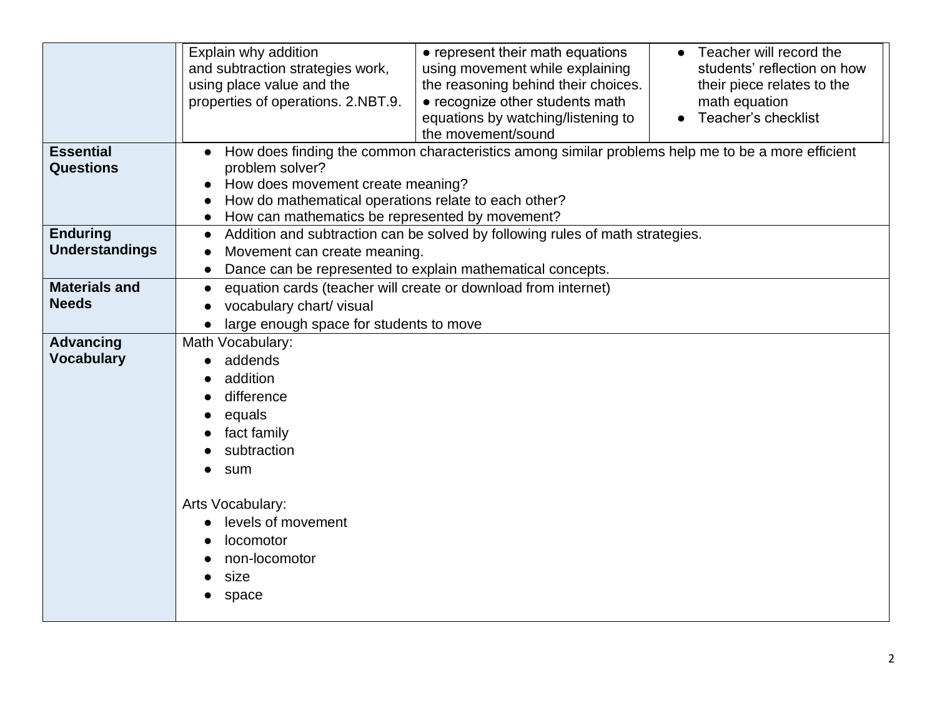| <b>Essential</b><br><b>Questions</b>     | Explain why addition<br>and subtraction strategies work,<br>using place value and the<br>properties of operations. 2.NBT.9.<br>problem solver?<br>How does movement create meaning?<br>How do mathematical operations relate to each other? | • represent their math equations<br>using movement while explaining<br>the reasoning behind their choices.<br>• recognize other students math<br>equations by watching/listening to<br>the movement/sound<br>How does finding the common characteristics among similar problems help me to be a more efficient | Teacher will record the<br>students' reflection on how<br>their piece relates to the<br>math equation<br>Teacher's checklist |
|------------------------------------------|---------------------------------------------------------------------------------------------------------------------------------------------------------------------------------------------------------------------------------------------|----------------------------------------------------------------------------------------------------------------------------------------------------------------------------------------------------------------------------------------------------------------------------------------------------------------|------------------------------------------------------------------------------------------------------------------------------|
|                                          | How can mathematics be represented by movement?                                                                                                                                                                                             |                                                                                                                                                                                                                                                                                                                |                                                                                                                              |
| <b>Enduring</b><br><b>Understandings</b> | $\bullet$<br>Movement can create meaning.                                                                                                                                                                                                   | Addition and subtraction can be solved by following rules of math strategies.<br>Dance can be represented to explain mathematical concepts.                                                                                                                                                                    |                                                                                                                              |
| <b>Materials and</b><br><b>Needs</b>     | $\bullet$<br>vocabulary chart/visual<br>large enough space for students to move                                                                                                                                                             | equation cards (teacher will create or download from internet)                                                                                                                                                                                                                                                 |                                                                                                                              |
| <b>Advancing</b><br><b>Vocabulary</b>    | Math Vocabulary:<br>addends<br>addition<br>difference<br>equals<br>fact family<br>subtraction<br>sum<br>Arts Vocabulary:<br>levels of movement<br>locomotor<br>non-locomotor<br>size<br>space                                               |                                                                                                                                                                                                                                                                                                                |                                                                                                                              |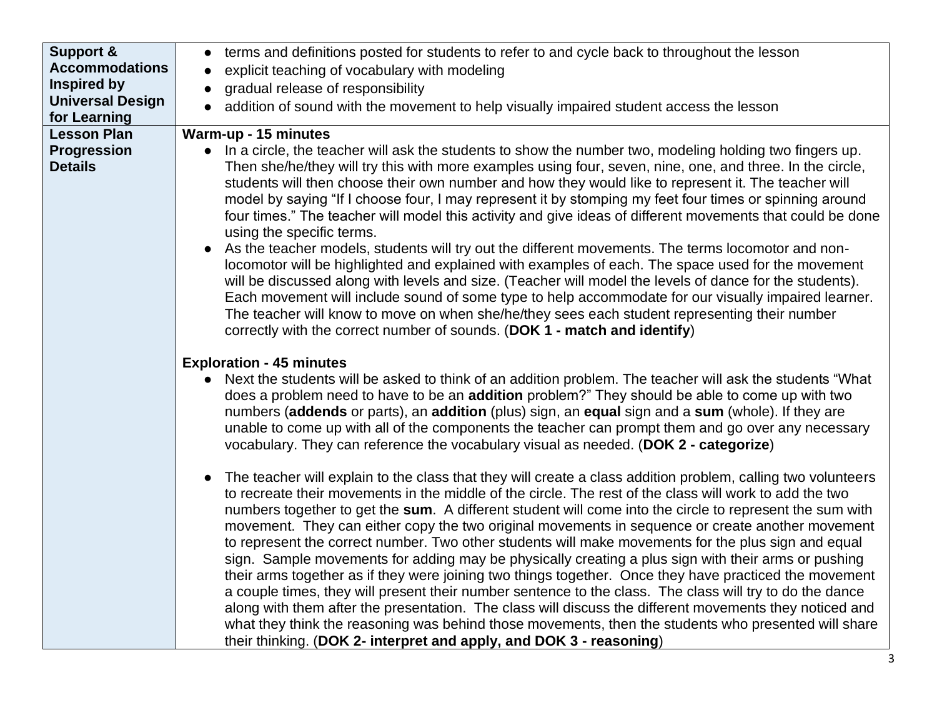| <b>Support &amp;</b>                 | terms and definitions posted for students to refer to and cycle back to throughout the lesson<br>$\bullet$                                                                                                                                                                                                                                                                                                                                                                                                                                                                                                                                                                                                                                                                                                                                                                                                                                                                                                                                                                                                                                                                                                                                                                                                                                                                                                                                                                                                                                                                                                                                                                                                                                                                                              |
|--------------------------------------|---------------------------------------------------------------------------------------------------------------------------------------------------------------------------------------------------------------------------------------------------------------------------------------------------------------------------------------------------------------------------------------------------------------------------------------------------------------------------------------------------------------------------------------------------------------------------------------------------------------------------------------------------------------------------------------------------------------------------------------------------------------------------------------------------------------------------------------------------------------------------------------------------------------------------------------------------------------------------------------------------------------------------------------------------------------------------------------------------------------------------------------------------------------------------------------------------------------------------------------------------------------------------------------------------------------------------------------------------------------------------------------------------------------------------------------------------------------------------------------------------------------------------------------------------------------------------------------------------------------------------------------------------------------------------------------------------------------------------------------------------------------------------------------------------------|
| <b>Accommodations</b>                | explicit teaching of vocabulary with modeling                                                                                                                                                                                                                                                                                                                                                                                                                                                                                                                                                                                                                                                                                                                                                                                                                                                                                                                                                                                                                                                                                                                                                                                                                                                                                                                                                                                                                                                                                                                                                                                                                                                                                                                                                           |
| Inspired by                          | gradual release of responsibility                                                                                                                                                                                                                                                                                                                                                                                                                                                                                                                                                                                                                                                                                                                                                                                                                                                                                                                                                                                                                                                                                                                                                                                                                                                                                                                                                                                                                                                                                                                                                                                                                                                                                                                                                                       |
| <b>Universal Design</b>              | addition of sound with the movement to help visually impaired student access the lesson                                                                                                                                                                                                                                                                                                                                                                                                                                                                                                                                                                                                                                                                                                                                                                                                                                                                                                                                                                                                                                                                                                                                                                                                                                                                                                                                                                                                                                                                                                                                                                                                                                                                                                                 |
| for Learning                         |                                                                                                                                                                                                                                                                                                                                                                                                                                                                                                                                                                                                                                                                                                                                                                                                                                                                                                                                                                                                                                                                                                                                                                                                                                                                                                                                                                                                                                                                                                                                                                                                                                                                                                                                                                                                         |
| <b>Lesson Plan</b>                   | Warm-up - 15 minutes                                                                                                                                                                                                                                                                                                                                                                                                                                                                                                                                                                                                                                                                                                                                                                                                                                                                                                                                                                                                                                                                                                                                                                                                                                                                                                                                                                                                                                                                                                                                                                                                                                                                                                                                                                                    |
| <b>Progression</b><br><b>Details</b> | In a circle, the teacher will ask the students to show the number two, modeling holding two fingers up.<br>$\bullet$<br>Then she/he/they will try this with more examples using four, seven, nine, one, and three. In the circle,<br>students will then choose their own number and how they would like to represent it. The teacher will<br>model by saying "If I choose four, I may represent it by stomping my feet four times or spinning around<br>four times." The teacher will model this activity and give ideas of different movements that could be done<br>using the specific terms.<br>As the teacher models, students will try out the different movements. The terms locomotor and non-<br>locomotor will be highlighted and explained with examples of each. The space used for the movement<br>will be discussed along with levels and size. (Teacher will model the levels of dance for the students).<br>Each movement will include sound of some type to help accommodate for our visually impaired learner.<br>The teacher will know to move on when she/he/they sees each student representing their number                                                                                                                                                                                                                                                                                                                                                                                                                                                                                                                                                                                                                                                                        |
|                                      | correctly with the correct number of sounds. (DOK 1 - match and identify)<br><b>Exploration - 45 minutes</b><br>Next the students will be asked to think of an addition problem. The teacher will ask the students "What<br>does a problem need to have to be an addition problem?" They should be able to come up with two<br>numbers (addends or parts), an addition (plus) sign, an equal sign and a sum (whole). If they are<br>unable to come up with all of the components the teacher can prompt them and go over any necessary<br>vocabulary. They can reference the vocabulary visual as needed. (DOK 2 - categorize)<br>The teacher will explain to the class that they will create a class addition problem, calling two volunteers<br>to recreate their movements in the middle of the circle. The rest of the class will work to add the two<br>numbers together to get the sum. A different student will come into the circle to represent the sum with<br>movement. They can either copy the two original movements in sequence or create another movement<br>to represent the correct number. Two other students will make movements for the plus sign and equal<br>sign. Sample movements for adding may be physically creating a plus sign with their arms or pushing<br>their arms together as if they were joining two things together. Once they have practiced the movement<br>a couple times, they will present their number sentence to the class. The class will try to do the dance<br>along with them after the presentation. The class will discuss the different movements they noticed and<br>what they think the reasoning was behind those movements, then the students who presented will share<br>their thinking. (DOK 2- interpret and apply, and DOK 3 - reasoning) |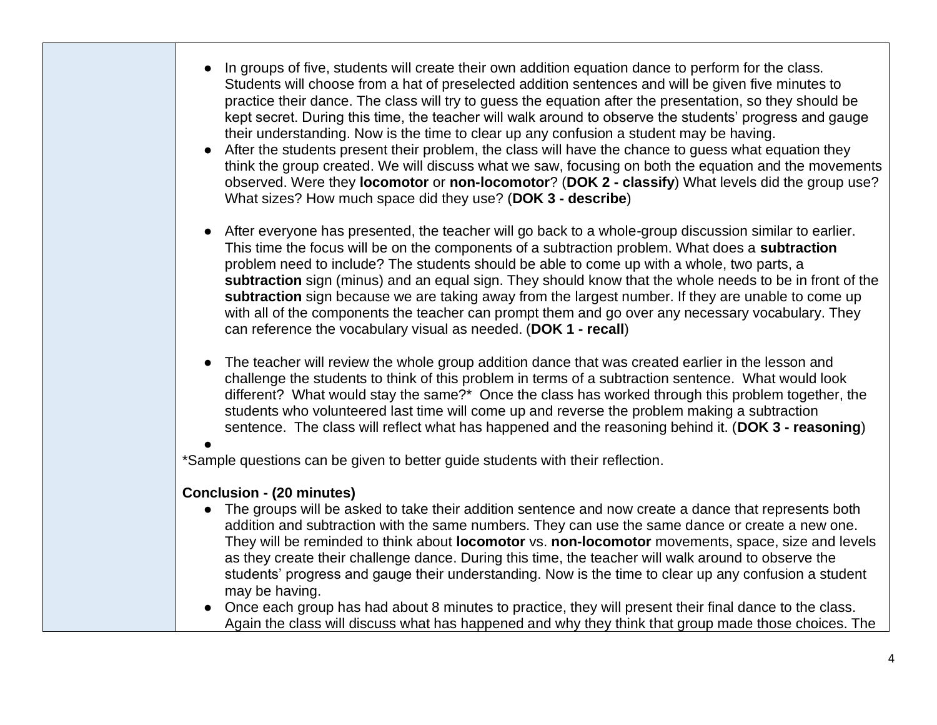- In groups of five, students will create their own addition equation dance to perform for the class. Students will choose from a hat of preselected addition sentences and will be given five minutes to practice their dance. The class will try to guess the equation after the presentation, so they should be kept secret. During this time, the teacher will walk around to observe the students' progress and gauge their understanding. Now is the time to clear up any confusion a student may be having.
- After the students present their problem, the class will have the chance to quess what equation they think the group created. We will discuss what we saw, focusing on both the equation and the movements observed. Were they **locomotor** or **non-locomotor**? (**DOK 2 - classify**) What levels did the group use? What sizes? How much space did they use? (**DOK 3 - describe**)
- After everyone has presented, the teacher will go back to a whole-group discussion similar to earlier. This time the focus will be on the components of a subtraction problem. What does a **subtraction** problem need to include? The students should be able to come up with a whole, two parts, a **subtraction** sign (minus) and an equal sign. They should know that the whole needs to be in front of the **subtraction** sign because we are taking away from the largest number. If they are unable to come up with all of the components the teacher can prompt them and go over any necessary vocabulary. They can reference the vocabulary visual as needed. (**DOK 1 - recall**)
- The teacher will review the whole group addition dance that was created earlier in the lesson and challenge the students to think of this problem in terms of a subtraction sentence. What would look different? What would stay the same?\* Once the class has worked through this problem together, the students who volunteered last time will come up and reverse the problem making a subtraction sentence. The class will reflect what has happened and the reasoning behind it. (**DOK 3 - reasoning**)
- ●

\*Sample questions can be given to better guide students with their reflection.

## **Conclusion - (20 minutes)**

- The groups will be asked to take their addition sentence and now create a dance that represents both addition and subtraction with the same numbers. They can use the same dance or create a new one. They will be reminded to think about **locomotor** vs. **non-locomotor** movements, space, size and levels as they create their challenge dance. During this time, the teacher will walk around to observe the students' progress and gauge their understanding. Now is the time to clear up any confusion a student may be having.
- Once each group has had about 8 minutes to practice, they will present their final dance to the class. Again the class will discuss what has happened and why they think that group made those choices. The